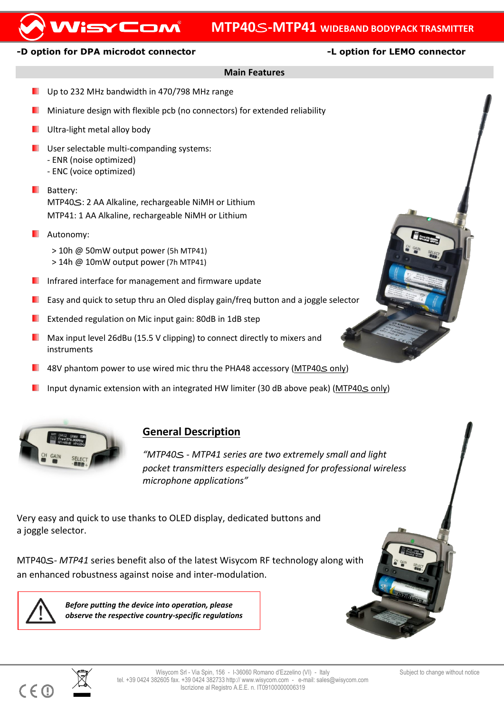# **MTP40**S**-MTP41 WIDEBAND BODYPACK TRASMITTER**

## **-D option for DPA microdot connector -L option for LEMO connector**

WisyCom

## **Main Features**

- Up to 232 MHz bandwidth in 470/798 MHz range
- Miniature design with flexible pcb (no connectors) for extended reliability
- Ultra-light metal alloy body
- **USER** User selectable multi-companding systems:
	- ENR (noise optimized)
	- ENC (voice optimized)
- **Battery:** MTP40S: 2 AA Alkaline, rechargeable NiMH or Lithium MTP41: 1 AA Alkaline, rechargeable NiMH or Lithium
- **Autonomy:** 
	- > 10h @ 50mW output power (5h MTP41) > 14h @ 10mW output power(7h MTP41)
- **Infrared interface for management and firmware update**
- Easy and quick to setup thru an Oled display gain/freq button and a joggle selector
- Extended regulation on Mic input gain: 80dB in 1dB step
- **Max** input level 26dBu (15.5 V clipping) to connect directly to mixers and instruments
- 48V phantom power to use wired mic thru the PHA48 accessory (MTP40S only)
- Input dynamic extension with an integrated HW limiter (30 dB above peak) (MTP40 $\leq$  only)



# **General Description**

*"MTP40*S *- MTP41 series are two extremely small and light pocket transmitters especially designed for professional wireless microphone applications"*

Very easy and quick to use thanks to OLED display, dedicated buttons and a joggle selector.

MTP40S*- MTP41* series benefit also of the latest Wisycom RF technology along with an enhanced robustness against noise and inter-modulation.

 $C \in \mathbb{C}$ 

*Before putting the device into operation, please observe the respective country-specific regulations*



 $\overline{a}$